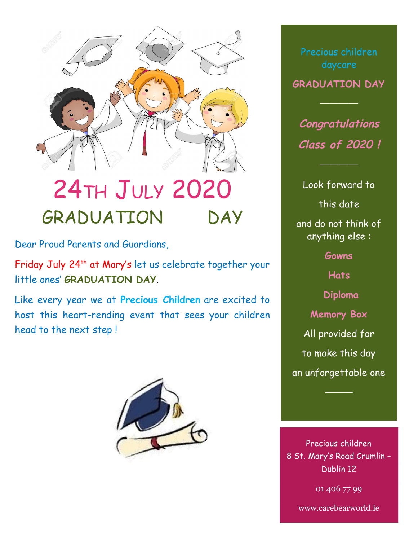

## 24TH JULY 2020 GRADUATION DAY

Dear Proud Parents and Guardians,

Friday July 24 th at Mary's let us celebrate together your little ones' **GRADUATION DAY**.

Like every year we at **Precious Children** are excited to host this heart-rending event that sees your children head to the next step !



daycare

**GRADUATION DAY**

**Congratulations Class of 2020 !**

Look forward to this date and do not think of anything else : **Gowns**

**Hats Diploma Memory Box** All provided for to make this day an unforgettable one

────

Precious children 8 St. Mary's Road Crumlin – Dublin 12

01 406 77 99

www.carebearworld.ie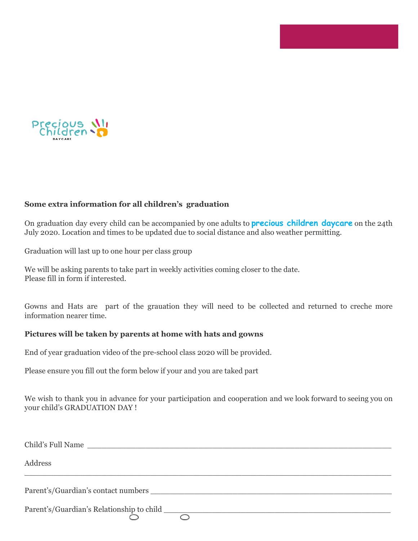

## **Some extra information for all children's graduation**

On graduation day every child can be accompanied by one adults to **precious children daycare** on the 24th July 2020. Location and times to be updated due to social distance and also weather permitting.

Graduation will last up to one hour per class group

We will be asking parents to take part in weekly activities coming closer to the date. Please fill in form if interested.

Gowns and Hats are part of the grauation they will need to be collected and returned to creche more information nearer time.

## **Pictures will be taken by parents at home with hats and gowns**

End of year graduation video of the pre-school class 2020 will be provided.

Please ensure you fill out the form below if your and you are taked part

We wish to thank you in advance for your participation and cooperation and we look forward to seeing you on your child's GRADUATION DAY !

| Child's Full Name                                                                                                                                                                                                              |
|--------------------------------------------------------------------------------------------------------------------------------------------------------------------------------------------------------------------------------|
| Address                                                                                                                                                                                                                        |
| Parent's/Guardian's contact numbers experience of the state of the state of the state of the state of the state of the state of the state of the state of the state of the state of the state of the state of the state of the |
| Parent's/Guardian's Relationship to child                                                                                                                                                                                      |